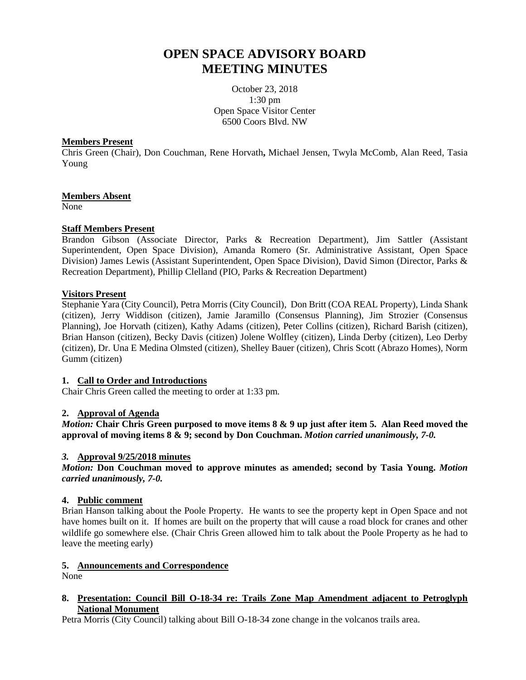# **OPEN SPACE ADVISORY BOARD MEETING MINUTES**

October 23, 2018 1:30 pm Open Space Visitor Center 6500 Coors Blvd. NW

#### **Members Present**

Chris Green (Chair), Don Couchman, Rene Horvath**,** Michael Jensen, Twyla McComb, Alan Reed, Tasia Young

# **Members Absent**

None

# **Staff Members Present**

Brandon Gibson (Associate Director, Parks & Recreation Department), Jim Sattler (Assistant Superintendent, Open Space Division), Amanda Romero (Sr. Administrative Assistant, Open Space Division) James Lewis (Assistant Superintendent, Open Space Division), David Simon (Director, Parks & Recreation Department), Phillip Clelland (PIO, Parks & Recreation Department)

# **Visitors Present**

Stephanie Yara (City Council), Petra Morris (City Council), Don Britt (COA REAL Property), Linda Shank (citizen), Jerry Widdison (citizen), Jamie Jaramillo (Consensus Planning), Jim Strozier (Consensus Planning), Joe Horvath (citizen), Kathy Adams (citizen), Peter Collins (citizen), Richard Barish (citizen), Brian Hanson (citizen), Becky Davis (citizen) Jolene Wolfley (citizen), Linda Derby (citizen), Leo Derby (citizen), Dr. Una E Medina Olmsted (citizen), Shelley Bauer (citizen), Chris Scott (Abrazo Homes), Norm Gumm (citizen)

# **1. Call to Order and Introductions**

Chair Chris Green called the meeting to order at 1:33 pm.

# **2. Approval of Agenda**

*Motion:* **Chair Chris Green purposed to move items 8 & 9 up just after item 5. Alan Reed moved the approval of moving items 8 & 9; second by Don Couchman.** *Motion carried unanimously, 7-0.*

# *3.* **Approval 9/25/2018 minutes**

*Motion:* **Don Couchman moved to approve minutes as amended; second by Tasia Young.** *Motion carried unanimously, 7-0.*

# **4. Public comment**

Brian Hanson talking about the Poole Property. He wants to see the property kept in Open Space and not have homes built on it. If homes are built on the property that will cause a road block for cranes and other wildlife go somewhere else. (Chair Chris Green allowed him to talk about the Poole Property as he had to leave the meeting early)

# **5. Announcements and Correspondence**

None

#### **8. Presentation: Council Bill O-18-34 re: Trails Zone Map Amendment adjacent to Petroglyph National Monument**

Petra Morris (City Council) talking about Bill O-18-34 zone change in the volcanos trails area.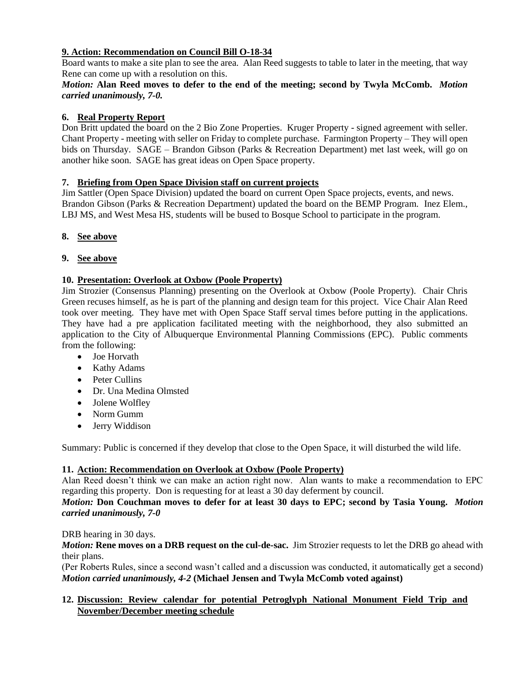# **9. Action: Recommendation on Council Bill O-18-34**

Board wants to make a site plan to see the area. Alan Reed suggests to table to later in the meeting, that way Rene can come up with a resolution on this.

# *Motion:* **Alan Reed moves to defer to the end of the meeting; second by Twyla McComb.** *Motion carried unanimously, 7-0.*

# **6. Real Property Report**

Don Britt updated the board on the 2 Bio Zone Properties. Kruger Property - signed agreement with seller. Chant Property - meeting with seller on Friday to complete purchase. Farmington Property – They will open bids on Thursday. SAGE – Brandon Gibson (Parks & Recreation Department) met last week, will go on another hike soon. SAGE has great ideas on Open Space property.

# **7. Briefing from Open Space Division staff on current projects**

Jim Sattler (Open Space Division) updated the board on current Open Space projects, events, and news. Brandon Gibson (Parks & Recreation Department) updated the board on the BEMP Program. Inez Elem., LBJ MS, and West Mesa HS, students will be bused to Bosque School to participate in the program.

# **8. See above**

# **9. See above**

# **10. Presentation: Overlook at Oxbow (Poole Property)**

Jim Strozier (Consensus Planning) presenting on the Overlook at Oxbow (Poole Property). Chair Chris Green recuses himself, as he is part of the planning and design team for this project. Vice Chair Alan Reed took over meeting. They have met with Open Space Staff serval times before putting in the applications. They have had a pre application facilitated meeting with the neighborhood, they also submitted an application to the City of Albuquerque Environmental Planning Commissions (EPC). Public comments from the following:

- Joe Horvath
- Kathy Adams
- Peter Cullins
- Dr. Una Medina Olmsted
- Jolene Wolfley
- Norm Gumm
- Jerry Widdison

Summary: Public is concerned if they develop that close to the Open Space, it will disturbed the wild life.

# **11. Action: Recommendation on Overlook at Oxbow (Poole Property)**

Alan Reed doesn't think we can make an action right now. Alan wants to make a recommendation to EPC regarding this property. Don is requesting for at least a 30 day deferment by council.

# *Motion:* **Don Couchman moves to defer for at least 30 days to EPC; second by Tasia Young.** *Motion carried unanimously, 7-0*

# DRB hearing in 30 days.

*Motion:* **Rene moves on a DRB request on the cul-de-sac.** Jim Strozier requests to let the DRB go ahead with their plans.

(Per Roberts Rules, since a second wasn't called and a discussion was conducted, it automatically get a second) *Motion carried unanimously, 4-2* **(Michael Jensen and Twyla McComb voted against)** 

# **12. Discussion: Review calendar for potential Petroglyph National Monument Field Trip and November/December meeting schedule**